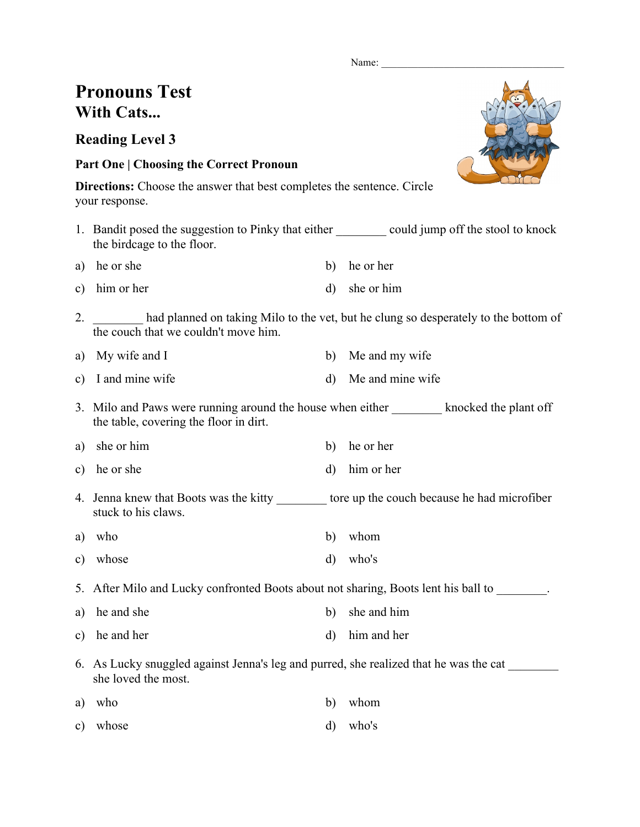Name:

## **Pronouns Test With Cats...**

**Reading Level 3**

## **Part One | Choosing the Correct Pronoun**

**Directions:** Choose the answer that best completes the sentence. Circle your response.

- 1. Bandit posed the suggestion to Pinky that either could jump off the stool to knock the birdcage to the floor.
- a) he or she b) he or her c) him or her d) she or him
- 2. had planned on taking Milo to the vet, but he clung so desperately to the bottom of
- the couch that we couldn't move him.
- a) My wife and I b) Me and my wife
- c) I and mine wife d) Me and mine wife
- 3. Milo and Paws were running around the house when either knocked the plant off the table, covering the floor in dirt.
- a) she or him b) he or her
- c) he or she d) him or her
- 4. Jenna knew that Boots was the kitty \_\_\_\_\_\_\_\_ tore up the couch because he had microfiber stuck to his claws.
- a) who b) whom
- c) whose d) who's

5. After Milo and Lucky confronted Boots about not sharing, Boots lent his ball to \_\_\_\_\_\_\_.

- a) he and she b) she and him
- c) he and her d) him and her
- 6. As Lucky snuggled against Jenna's leg and purred, she realized that he was the cat \_\_\_\_\_\_\_\_ she loved the most.

| a) who   | b) whom    |
|----------|------------|
| c) whose | $d)$ who's |

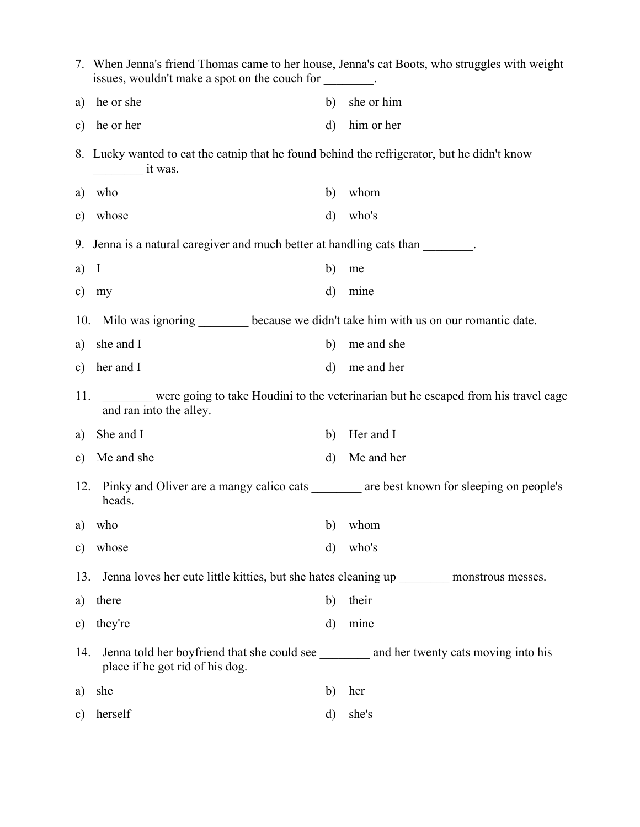|     | 7. When Jenna's friend Thomas came to her house, Jenna's cat Boots, who struggles with weight<br>issues, wouldn't make a spot on the couch for |              |                                                                                    |
|-----|------------------------------------------------------------------------------------------------------------------------------------------------|--------------|------------------------------------------------------------------------------------|
| a)  | he or she                                                                                                                                      | b)           | she or him                                                                         |
| c)  | he or her                                                                                                                                      | $\mathbf{d}$ | him or her                                                                         |
|     | 8. Lucky wanted to eat the catnip that he found behind the refrigerator, but he didn't know<br>it was.                                         |              |                                                                                    |
| a)  | who                                                                                                                                            | b)           | whom                                                                               |
| c)  | whose                                                                                                                                          | $\mathbf{d}$ | who's                                                                              |
|     | 9. Jenna is a natural caregiver and much better at handling cats than                                                                          |              |                                                                                    |
| a)  | I                                                                                                                                              | b)           | me                                                                                 |
| c)  | my                                                                                                                                             | $\rm d$      | mine                                                                               |
| 10. | Milo was ignoring ________ because we didn't take him with us on our romantic date.                                                            |              |                                                                                    |
| a)  | she and I                                                                                                                                      | b)           | me and she                                                                         |
| c)  | her and I                                                                                                                                      | $\mathbf{d}$ | me and her                                                                         |
| 11. | and ran into the alley.                                                                                                                        |              | were going to take Houdini to the veterinarian but he escaped from his travel cage |
| a)  | She and I                                                                                                                                      | b)           | Her and I                                                                          |
| c)  | Me and she                                                                                                                                     | $\mathbf{d}$ | Me and her                                                                         |
| 12. | Pinky and Oliver are a mangy calico cats ________ are best known for sleeping on people's<br>heads.                                            |              |                                                                                    |
| a)  | who                                                                                                                                            | b)           | whom                                                                               |
| c)  | whose                                                                                                                                          | $\rm d)$     | who's                                                                              |
| 13. | Jenna loves her cute little kitties, but she hates cleaning up __________ monstrous messes.                                                    |              |                                                                                    |
| a)  | there                                                                                                                                          | b)           | their                                                                              |
| c)  | they're                                                                                                                                        | $\rm d)$     | mine                                                                               |
| 14. | Jenna told her boyfriend that she could see ___________ and her twenty cats moving into his<br>place if he got rid of his dog.                 |              |                                                                                    |
| a)  | she                                                                                                                                            | b)           | her                                                                                |
| c)  | herself                                                                                                                                        | d)           | she's                                                                              |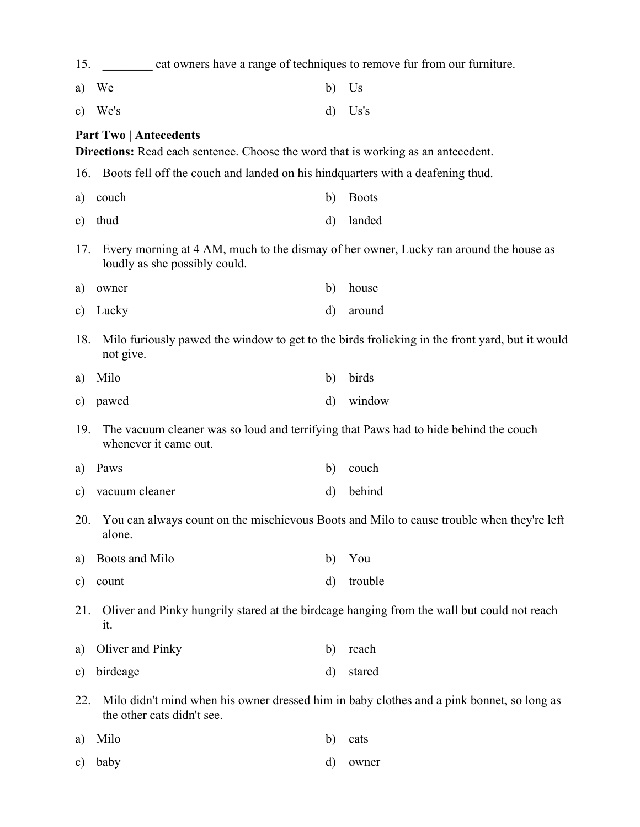| 15.           | cat owners have a range of techniques to remove fur from our furniture.                                                 |          |                                                                                                |  |  |
|---------------|-------------------------------------------------------------------------------------------------------------------------|----------|------------------------------------------------------------------------------------------------|--|--|
| a)            | We                                                                                                                      | b)       | Us                                                                                             |  |  |
| $\mathbf{c})$ | We's                                                                                                                    | d)       | Us's                                                                                           |  |  |
|               | <b>Part Two   Antecedents</b><br>Directions: Read each sentence. Choose the word that is working as an antecedent.      |          |                                                                                                |  |  |
| 16.           | Boots fell off the couch and landed on his hind quarters with a deafening thud.                                         |          |                                                                                                |  |  |
| a)            | couch                                                                                                                   | b)       | <b>Boots</b>                                                                                   |  |  |
| $\mathbf{c})$ | thud                                                                                                                    | $\rm d$  | landed                                                                                         |  |  |
| 17.           | Every morning at 4 AM, much to the dismay of her owner, Lucky ran around the house as<br>loudly as she possibly could.  |          |                                                                                                |  |  |
| a)            | owner                                                                                                                   | b)       | house                                                                                          |  |  |
| c)            | Lucky                                                                                                                   | d)       | around                                                                                         |  |  |
| 18.           | not give.                                                                                                               |          | Milo furiously pawed the window to get to the birds frolicking in the front yard, but it would |  |  |
| a)            | Milo                                                                                                                    | b)       | birds                                                                                          |  |  |
| $\mathbf{c})$ | pawed                                                                                                                   | $\rm d)$ | window                                                                                         |  |  |
| 19.           | The vacuum cleaner was so loud and terrifying that Paws had to hide behind the couch<br>whenever it came out.           |          |                                                                                                |  |  |
| a)            | Paws                                                                                                                    | b)       | couch                                                                                          |  |  |
| $\mathbf{c})$ | vacuum cleaner                                                                                                          | $\rm d)$ | behind                                                                                         |  |  |
|               | 20. You can always count on the mischievous Boots and Milo to cause trouble when they're left<br>alone.                 |          |                                                                                                |  |  |
| a)            | Boots and Milo                                                                                                          | b)       | You                                                                                            |  |  |
| $\mathbf{c})$ | count                                                                                                                   | d)       | trouble                                                                                        |  |  |
| 21.           | Oliver and Pinky hungrily stared at the birdcage hanging from the wall but could not reach<br>it.                       |          |                                                                                                |  |  |
| a)            | Oliver and Pinky                                                                                                        | b)       | reach                                                                                          |  |  |
| $\mathbf{c})$ | birdcage                                                                                                                | d)       | stared                                                                                         |  |  |
| 22.           | Milo didn't mind when his owner dressed him in baby clothes and a pink bonnet, so long as<br>the other cats didn't see. |          |                                                                                                |  |  |
| a)            | Milo                                                                                                                    | b)       | cats                                                                                           |  |  |
| $\mathbf{c})$ | baby                                                                                                                    | d)       | owner                                                                                          |  |  |